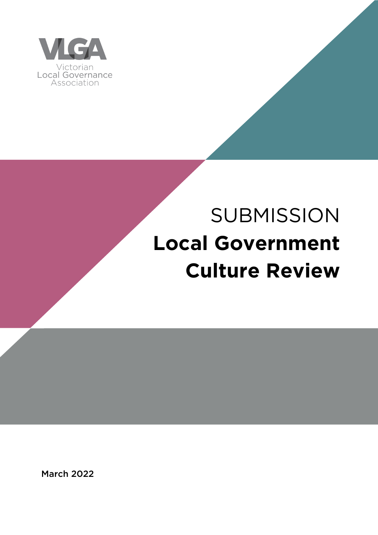

# **SUBMISSION Local Government Culture Review**

March 2022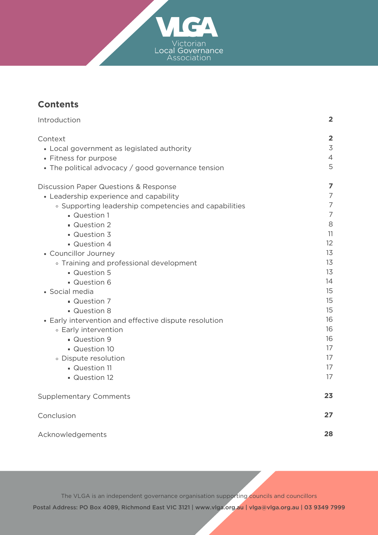

# **Contents**

| Introduction                                          | $\overline{\mathbf{2}}$ |
|-------------------------------------------------------|-------------------------|
| Context                                               | $\overline{2}$          |
| • Local government as legislated authority            | 3                       |
| • Fitness for purpose                                 | $\overline{4}$          |
| • The political advocacy / good governance tension    | 5                       |
| <b>Discussion Paper Questions &amp; Response</b>      | $\overline{z}$          |
| • Leadership experience and capability                | $\overline{7}$          |
| ○ Supporting leadership competencies and capabilities | $\overline{7}$          |
| <b>Question 1</b>                                     | $\overline{7}$          |
| • Question 2                                          | 8                       |
| <b>Question 3</b>                                     | 11                      |
| Question 4                                            | 12                      |
| • Councillor Journey                                  | 13                      |
| • Training and professional development               | 13                      |
| Question 5                                            | 13<br>14                |
| Question 6                                            | 15                      |
| • Social media<br>Question 7                          | 15                      |
| Question 8                                            | 15                      |
| • Early intervention and effective dispute resolution | 16                      |
| ◦ Early intervention                                  | 16                      |
| Question 9                                            | 16                      |
| Question 10                                           | 17                      |
| · Dispute resolution                                  | 17                      |
| Question 11                                           | 17                      |
| Question 12                                           | 17                      |
|                                                       |                         |
| <b>Supplementary Comments</b>                         | 23                      |
| Conclusion                                            | 27                      |
| Acknowledgements                                      | 28                      |

The VLGA is an independent governance organisation supporting councils and councillors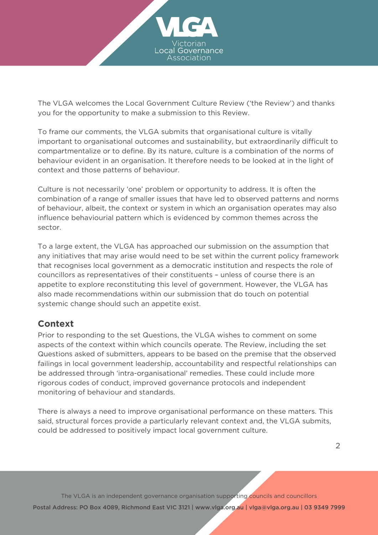

The VLGA welcomes the Local Government Culture Review ('the Review') and thanks you for the opportunity to make a submission to this Review.

To frame our comments, the VLGA submits that organisational culture is vitally important to organisational outcomes and sustainability, but extraordinarily difficult to compartmentalize or to define. By its nature, culture is a combination of the norms of behaviour evident in an organisation. It therefore needs to be looked at in the light of context and those patterns of behaviour.

Culture is not necessarily 'one' problem or opportunity to address. It is often the combination of a range of smaller issues that have led to observed patterns and norms of behaviour, albeit, the context or system in which an organisation operates may also influence behaviourial pattern which is evidenced by common themes across the sector.

To a large extent, the VLGA has approached our submission on the assumption that any initiatives that may arise would need to be set within the current policy framework that recognises local government as a democratic institution and respects the role of councillors as representatives of their constituents – unless of course there is an appetite to explore reconstituting this level of government. However, the VLGA has also made recommendations within our submission that do touch on potential systemic change should such an appetite exist.

# **Context**

Prior to responding to the set Questions, the VLGA wishes to comment on some aspects of the context within which councils operate. The Review, including the set Questions asked of submitters, appears to be based on the premise that the observed failings in local government leadership, accountability and respectful relationships can be addressed through 'intra-organisational' remedies. These could include more rigorous codes of conduct, improved governance protocols and independent monitoring of behaviour and standards.

There is always a need to improve organisational performance on these matters. This said, structural forces provide a particularly relevant context and, the VLGA submits, could be addressed to positively impact local government culture.

The VLGA is an independent governance organisation supporting councils and councillors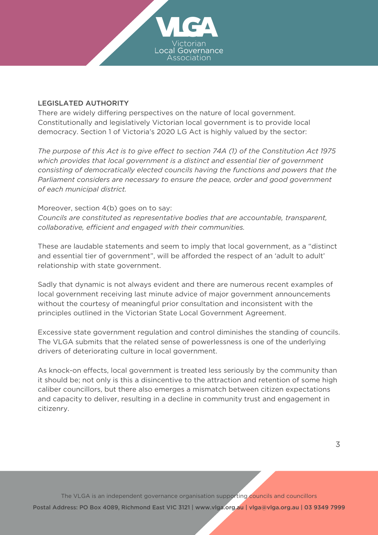

#### LEGISLATED AUTHORITY

There are widely differing perspectives on the nature of local government. Constitutionally and legislatively Victorian local government is to provide local democracy. Section 1 of Victoria's 2020 LG Act is highly valued by the sector:

*The purpose of this Act is to give effect to section 74A (1) of the Constitution Act 1975 which provides that local government is a distinct and essential tier of government consisting of democratically elected councils having the functions and powers that the Parliament considers are necessary to ensure the peace, order and good government of each municipal district.*

Moreover, section 4(b) goes on to say: *Councils are constituted as representative bodies that are accountable, transparent, collaborative, efficient and engaged with their communities.*

These are laudable statements and seem to imply that local government, as a "distinct and essential tier of government", will be afforded the respect of an 'adult to adult' relationship with state government.

Sadly that dynamic is not always evident and there are numerous recent examples of local government receiving last minute advice of major government announcements without the courtesy of meaningful prior consultation and inconsistent with the principles outlined in the Victorian State Local [Government](https://www.localgovernment.vic.gov.au/our-partnerships/victorian-state-local-government-agreement) Agreement.

Excessive state government regulation and control diminishes the standing of councils. The VLGA submits that the related sense of powerlessness is one of the underlying drivers of deteriorating culture in local government.

As knock-on effects, local government is treated less seriously by the community than it should be; not only is this a disincentive to the attraction and retention of some high caliber councillors, but there also emerges a mismatch between citizen expectations and capacity to deliver, resulting in a decline in community trust and engagement in citizenry.

The VLGA is an independent governance organisation supporting councils and councillors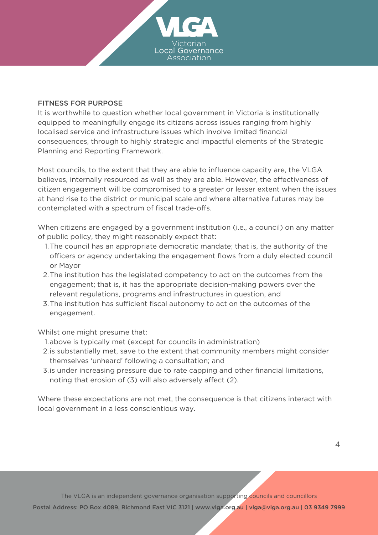

#### FITNESS FOR PURPOSE

It is worthwhile to question whether local government in Victoria is institutionally equipped to meaningfully engage its citizens across issues ranging from highly localised service and infrastructure issues which involve limited financial consequences, through to highly strategic and impactful elements of the Strategic Planning and Reporting Framework.

Most councils, to the extent that they are able to influence capacity are, the VLGA believes, internally resourced as well as they are able. However, the effectiveness of citizen engagement will be compromised to a greater or lesser extent when the issues at hand rise to the district or municipal scale and where alternative futures may be contemplated with a spectrum of fiscal trade-offs.

When citizens are engaged by a government institution (i.e., a council) on any matter of public policy, they might reasonably expect that:

- 1. The council has an appropriate democratic mandate; that is, the authority of the officers or agency undertaking the engagement flows from a duly elected council or Mayor
- 2. The institution has the legislated competency to act on the outcomes from the engagement; that is, it has the appropriate decision-making powers over the relevant regulations, programs and infrastructures in question, and
- The institution has sufficient fiscal autonomy to act on the outcomes of the 3. engagement.

Whilst one might presume that:

- 1. above is typically met (except for councils in administration)
- 2. is substantially met, save to the extent that community members might consider themselves 'unheard' following a consultation; and
- 3. is under increasing pressure due to rate capping and other financial limitations, noting that erosion of (3) will also adversely affect (2).

Where these expectations are not met, the consequence is that citizens interact with local government in a less conscientious way.

4

The VLGA is an independent governance organisation supporting councils and councillors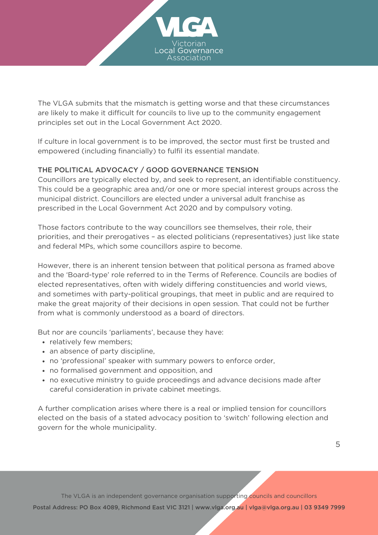

The VLGA submits that the mismatch is getting worse and that these circumstances are likely to make it difficult for councils to live up to the community engagement principles set out in the Local Government Act 2020.

If culture in local government is to be improved, the sector must first be trusted and empowered (including financially) to fulfil its essential mandate.

## THE POLITICAL ADVOCACY / GOOD GOVERNANCE TENSION

Councillors are typically elected by, and seek to represent, an identifiable constituency. This could be a geographic area and/or one or more special interest groups across the municipal district. Councillors are elected under a universal adult franchise as prescribed in the Local Government Act 2020 and by compulsory voting.

Those factors contribute to the way councillors see themselves, their role, their priorities, and their prerogatives – as elected politicians (representatives) just like state and federal MPs, which some councillors aspire to become.

However, there is an inherent tension between that political persona as framed above and the 'Board-type' role referred to in the Terms of Reference. Councils are bodies of elected representatives, often with widely differing constituencies and world views, and sometimes with party-political groupings, that meet in public and are required to make the great majority of their decisions in open session. That could not be further from what is commonly understood as a board of directors.

But nor are councils 'parliaments', because they have:

- relatively few members;
- an absence of party discipline,
- no 'professional' speaker with summary powers to enforce order,
- no formalised government and opposition, and
- no executive ministry to guide proceedings and advance decisions made after careful consideration in private cabinet meetings.

A further complication arises where there is a real or implied tension for councillors elected on the basis of a stated advocacy position to 'switch' following election and govern for the whole municipality.

The VLGA is an independent governance organisation supporting councils and councillors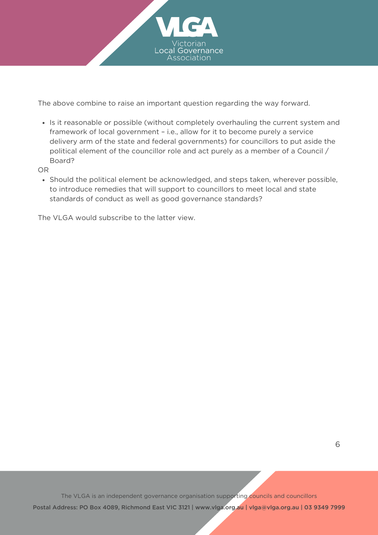

The above combine to raise an important question regarding the way forward.

• Is it reasonable or possible (without completely overhauling the current system and framework of local government – i.e., allow for it to become purely a service delivery arm of the state and federal governments) for councillors to put aside the political element of the councillor role and act purely as a member of a Council / Board?

OR

• Should the political element be acknowledged, and steps taken, wherever possible, to introduce remedies that will support to councillors to meet local and state standards of conduct as well as good governance standards?

The VLGA would subscribe to the latter view.

The VLGA is an independent governance organisation supporting councils and councillors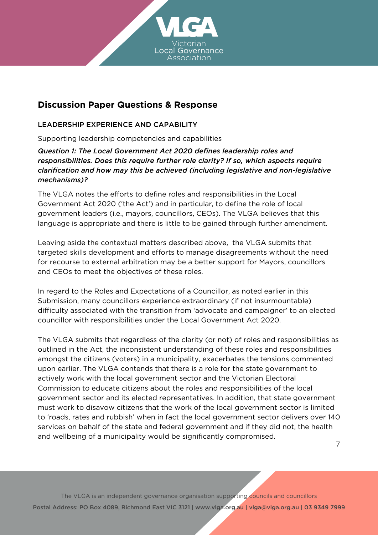

## **Discussion Paper Questions & Response**

## LEADERSHIP EXPERIENCE AND CAPABILITY

Supporting leadership competencies and capabilities

*Question 1:The Local Government Act 2020 defines leadership roles and responsibilities. Does this require further role clarity? If so, which aspects require clarification and how may this be achieved (including legislative and non-legislative mechanisms)?*

The VLGA notes the efforts to define roles and responsibilities in the Local Government Act 2020 ('the Act') and in particular, to define the role of local government leaders (i.e., mayors, councillors, CEOs). The VLGA believes that this language is appropriate and there is little to be gained through further amendment.

Leaving aside the contextual matters described above, the VLGA submits that targeted skills development and efforts to manage disagreements without the need for recourse to external arbitration may be a better support for Mayors, councillors and CEOs to meet the objectives of these roles.

In regard to the Roles and Expectations of a Councillor, as noted earlier in this Submission, many councillors experience extraordinary (if not insurmountable) difficulty associated with the transition from 'advocate and campaigner' to an elected councillor with responsibilities under the Local Government Act 2020.

The VLGA submits that regardless of the clarity (or not) of roles and responsibilities as outlined in the Act, the inconsistent understanding of these roles and responsibilities amongst the citizens (voters) in a municipality, exacerbates the tensions commented upon earlier. The VLGA contends that there is a role for the state government to actively work with the local government sector and the Victorian Electoral Commission to educate citizens about the roles and responsibilities of the local government sector and its elected representatives. In addition, that state government must work to disavow citizens that the work of the local government sector is limited to 'roads, rates and rubbish' when in fact the local government sector delivers over 140 services on behalf of the state and federal government and if they did not, the health and wellbeing of a municipality would be significantly compromised.

7

The VLGA is an independent governance organisation supporting councils and councillors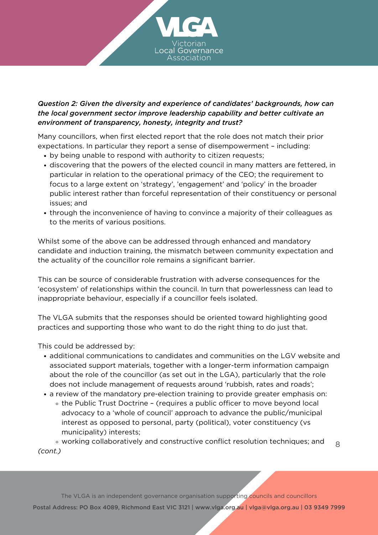

## *Question 2: Given the diversity and experience of candidates' backgrounds, how can the local government sector improve leadership capability and better cultivate an environment of transparency, honesty, integrity and trust?*

Many councillors, when first elected report that the role does not match their prior expectations. In particular they report a sense of disempowerment – including:

- by being unable to respond with authority to citizen requests;
- discovering that the powers of the elected council in many matters are fettered, in particular in relation to the operational primacy of the CEO; the requirement to focus to a large extent on 'strategy', 'engagement' and 'policy' in the broader public interest rather than forceful representation of their constituency or personal issues; and
- through the inconvenience of having to convince a majority of their colleagues as to the merits of various positions.

Whilst some of the above can be addressed through enhanced and mandatory candidate and induction training, the mismatch between community expectation and the actuality of the councillor role remains a significant barrier.

This can be source of considerable frustration with adverse consequences for the 'ecosystem' of relationships within the council. In turn that powerlessness can lead to inappropriate behaviour, especially if a councillor feels isolated.

The VLGA submits that the responses should be oriented toward highlighting good practices and supporting those who want to do the right thing to do just that.

This could be addressed by:

- additional communications to candidates and communities on the LGV website and associated support materials, together with a longer-term information campaign about the role of the councillor (as set out in the LGA), particularly that the role does not include management of requests around 'rubbish, rates and roads';
- a review of the mandatory pre-election training to provide greater emphasis on:
	- the Public Trust Doctrine (requires a public officer to move beyond local advocacy to a 'whole of council' approach to advance the public/municipal interest as opposed to personal, party (political), voter constituency (vs municipality) interests;

working collaboratively and constructive conflict resolution techniques; and *(cont.)* 8

The VLGA is an independent governance organisation supporting councils and councillors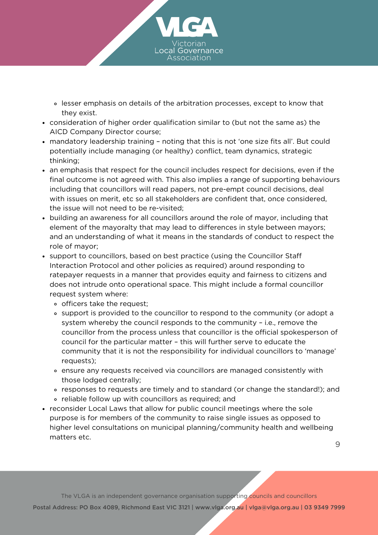

- lesser emphasis on details of the arbitration processes, except to know that they exist.
- consideration of higher order qualification similar to (but not the same as) the AICD Company Director course;
- mandatory leadership training noting that this is not 'one size fits all'. But could potentially include managing (or healthy) conflict, team dynamics, strategic thinking;
- an emphasis that respect for the council includes respect for decisions, even if the final outcome is not agreed with. This also implies a range of supporting behaviours including that councillors will read papers, not pre-empt council decisions, deal with issues on merit, etc so all stakeholders are confident that, once considered, the issue will not need to be re-visited;
- building an awareness for all councillors around the role of mayor, including that element of the mayoralty that may lead to differences in style between mayors; and an understanding of what it means in the standards of conduct to respect the role of mayor;
- support to councillors, based on best practice (using the Councillor Staff Interaction Protocol and other policies as required) around responding to ratepayer requests in a manner that provides equity and fairness to citizens and does not intrude onto operational space. This might include a formal councillor request system where:
	- o officers take the request;
	- support is provided to the councillor to respond to the community (or adopt a system whereby the council responds to the community – i.e., remove the councillor from the process unless that councillor is the official spokesperson of council for the particular matter – this will further serve to educate the community that it is not the responsibility for individual councillors to 'manage' requests);
	- ensure any requests received via councillors are managed consistently with those lodged centrally;
	- responses to requests are timely and to standard (or change the standard!); and
	- reliable follow up with councillors as required; and
- reconsider Local Laws that allow for public council meetings where the sole purpose is for members of the community to raise single issues as opposed to higher level consultations on municipal planning/community health and wellbeing matters etc.

The VLGA is an independent governance organisation supporting councils and councillors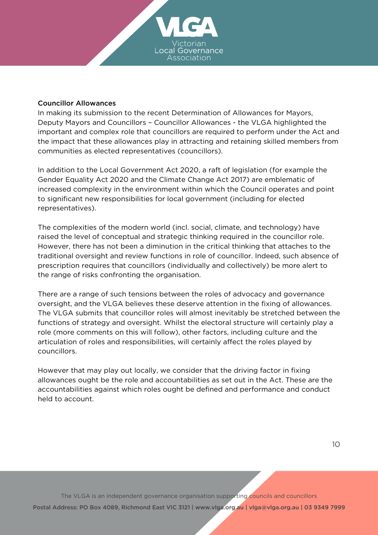

#### Councillor Allowances

In making its submission to the recent Determination of Allowances for Mayors, Deputy Mayors and Councillors – Councillor [Allowances](https://www.vic.gov.au/submissions-determination-allowances-mayors-deputy-mayors-and-councillors) - the VLGA highlighted the important and complex role that councillors are required to perform under the Act and the impact that these allowances play in attracting and retaining skilled members from communities as elected representatives (councillors).

In addition to the Local Government Act 2020, a raft of legislation (for example the Gender Equality Act 2020 and the Climate Change Act 2017) are emblematic of increased complexity in the environment within which the Council operates and point to significant new responsibilities for local government (including for elected representatives).

The complexities of the modern world (incl. social, climate, and technology) have raised the level of conceptual and strategic thinking required in the councillor role. However, there has not been a diminution in the critical thinking that attaches to the traditional oversight and review functions in role of councillor. Indeed, such absence of prescription requires that councillors (individually and collectively) be more alert to the range of risks confronting the organisation.

There are a range of such tensions between the roles of advocacy and governance oversight, and the VLGA believes these deserve attention in the fixing of allowances. The VLGA submits that councillor roles will almost inevitably be stretched between the functions of strategy and oversight. Whilst the electoral structure will certainly play a role (more comments on this will follow), other factors, including culture and the articulation of roles and responsibilities, will certainly affect the roles played by councillors.

However that may play out locally, we consider that the driving factor in fixing allowances ought be the role and accountabilities as set out in the Act. These are the accountabilities against which roles ought be defined and performance and conduct held to account.

The VLGA is an independent governance organisation supporting councils and councillors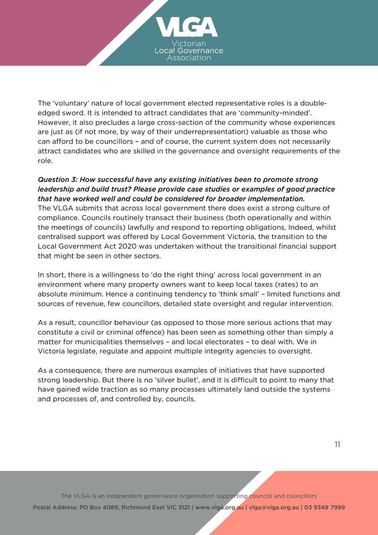

The 'voluntary' nature of local government elected representative roles is a doubleedged sword. It is intended to attract candidates that are 'community-minded'. However, it also precludes a large cross-section of the community whose experiences are just as (if not more, by way of their underrepresentation) valuable as those who can afford to be councillors – and of course, the current system does not necessarily attract candidates who are skilled in the governance and oversight requirements of the role.

#### *Question 3: How successful have any existing initiatives been to promote strong leadership and build trust? Please provide case studies or examples of good practice that have worked well and could be considered for broader implementation.*

The VLGA submits that across local government there does exist a strong culture of compliance. Councils routinely transact their business (both operationally and within the meetings of councils) lawfully and respond to reporting obligations. Indeed, whilst centralised support was offered by Local Government Victoria, the transition to the Local Government Act 2020 was undertaken without the transitional financial support that might be seen in other sectors.

In short, there is a willingness to 'do the right thing' across local government in an environment where many property owners want to keep local taxes (rates) to an absolute minimum. Hence a continuing tendency to 'think small' – limited functions and sources of revenue, few councillors, detailed state oversight and regular intervention.

As a result, councillor behaviour (as opposed to those more serious actions that may constitute a civil or criminal offence) has been seen as something other than simply a matter for municipalities themselves – and local electorates – to deal with. We in Victoria legislate, regulate and appoint multiple integrity agencies to oversight.

As a consequence, there are numerous examples of initiatives that have supported strong leadership. But there is no 'silver bullet', and it is difficult to point to many that have gained wide traction as so many processes ultimately land outside the systems and processes of, and controlled by, councils.

The VLGA is an independent governance organisation supporting councils and councillors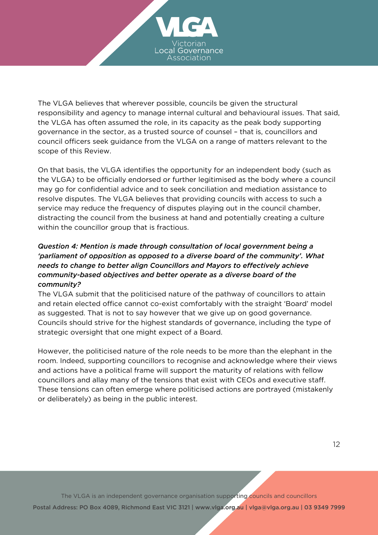

The VLGA believes that wherever possible, councils be given the structural responsibility and agency to manage internal cultural and behavioural issues. That said, the VLGA has often assumed the role, in its capacity as the peak body supporting governance in the sector, as a trusted source of counsel – that is, councillors and council officers seek guidance from the VLGA on a range of matters relevant to the scope of this Review.

On that basis, the VLGA identifies the opportunity for an independent body (such as the VLGA) to be officially endorsed or further legitimised as the body where a council may go for confidential advice and to seek conciliation and mediation assistance to resolve disputes. The VLGA believes that providing councils with access to such a service may reduce the frequency of disputes playing out in the council chamber, distracting the council from the business at hand and potentially creating a culture within the councillor group that is fractious.

## *Question 4: Mention is made through consultation of local government being a 'parliament of opposition as opposed to a diverse board of the community'. What needs to change to better align Councillors and Mayors to effectively achieve community-based objectives and better operate as a diverse board of the community?*

The VLGA submit that the politicised nature of the pathway of councillors to attain and retain elected office cannot co-exist comfortably with the straight 'Board' model as suggested. That is not to say however that we give up on good governance. Councils should strive for the highest standards of governance, including the type of strategic oversight that one might expect of a Board.

However, the politicised nature of the role needs to be more than the elephant in the room. Indeed, supporting councillors to recognise and acknowledge where their views and actions have a political frame will support the maturity of relations with fellow councillors and allay many of the tensions that exist with CEOs and executive staff. These tensions can often emerge where politicised actions are portrayed (mistakenly or deliberately) as being in the public interest.

The VLGA is an independent governance organisation supporting councils and councillors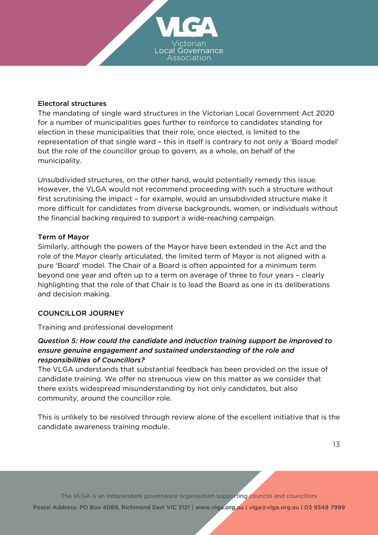

#### Electoral structures

The mandating of single ward structures in the Victorian Local Government Act 2020 for a number of municipalities goes further to reinforce to candidates standing for election in these municipalities that their role, once elected, is limited to the representation of that single ward – this in itself is contrary to not only a 'Board model' but the role of the councillor group to govern, as a whole, on behalf of the municipality.

Unsubdivided structures, on the other hand, would potentially remedy this issue. However, the VLGA would not recommend proceeding with such a structure without first scrutinising the impact – for example, would an unsubdivided structure make it more difficult for candidates from diverse backgrounds, women, or individuals without the financial backing required to support a wide-reaching campaign.

#### Term of Mayor

Similarly, although the powers of the Mayor have been extended in the Act and the role of the Mayor clearly articulated, the limited term of Mayor is not aligned with a pure 'Board' model. The Chair of a Board is often appointed for a minimum term beyond one year and often up to a term on average of three to four years – clearly highlighting that the role of that Chair is to lead the Board as one in its deliberations and decision making.

#### COUNCILLOR JOURNEY

Training and professional development

## *Question 5: How could the candidate and induction training support be improved to ensure genuine engagement and sustained understanding of the role and responsibilities of Councillors?*

The VLGA understands that substantial feedback has been provided on the issue of candidate training. We offer no strenuous view on this matter as we consider that there exists widespread misunderstanding by not only candidates, but also community, around the councillor role.

This is unlikely to be resolved through review alone of the excellent initiative that is the candidate awareness training module.

The VLGA is an independent governance organisation supporting councils and councillors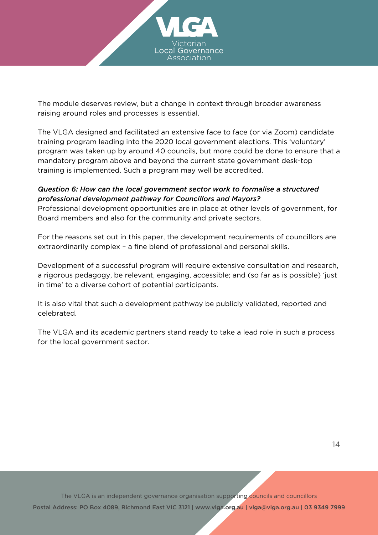

The module deserves review, but a change in context through broader awareness raising around roles and processes is essential.

The VLGA designed and facilitated an extensive face to face (or via Zoom) candidate training program leading into the 2020 local government elections. This 'voluntary' program was taken up by around 40 councils, but more could be done to ensure that a mandatory program above and beyond the current state government desk-top training is implemented. Such a program may well be accredited.

## *Question 6: How can the local government sector work to formalise a structured professional development pathway for Councillors and Mayors?*

Professional development opportunities are in place at other levels of government, for Board members and also for the community and private sectors.

For the reasons set out in this paper, the development requirements of councillors are extraordinarily complex – a fine blend of professional and personal skills.

Development of a successful program will require extensive consultation and research, a rigorous pedagogy, be relevant, engaging, accessible; and (so far as is possible) 'just in time' to a diverse cohort of potential participants.

It is also vital that such a development pathway be publicly validated, reported and celebrated.

The VLGA and its academic partners stand ready to take a lead role in such a process for the local government sector.

The VLGA is an independent governance organisation supporting councils and councillors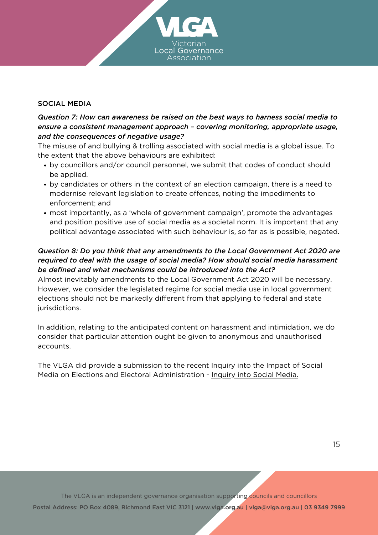#### SOCIAL MEDIA

## *Question 7: How can awareness be raised on the best ways to harness social media to ensure a consistent management approach – covering monitoring, appropriate usage, and the consequences of negative usage?*

The misuse of and bullying & trolling associated with social media is a global issue. To the extent that the above behaviours are exhibited:

- by councillors and/or council personnel, we submit that codes of conduct should be applied.
- by candidates or others in the context of an election campaign, there is a need to modernise relevant legislation to create offences, noting the impediments to enforcement; and
- most importantly, as a 'whole of government campaign', promote the advantages and position positive use of social media as a societal norm. It is important that any political advantage associated with such behaviour is, so far as is possible, negated.

## *Question 8: Do you think that any amendments to the Local Government Act 2020 are required to deal with the usage of social media? How should social media harassment be defined and what mechanisms could be introduced into the Act?*

Almost inevitably amendments to the Local Government Act 2020 will be necessary. However, we consider the legislated regime for social media use in local government elections should not be markedly different from that applying to federal and state jurisdictions.

In addition, relating to the anticipated content on harassment and intimidation, we do consider that particular attention ought be given to anonymous and unauthorised accounts.

The VLGA did provide a submission to the recent Inquiry into the Impact of Social Media on Elections and Electoral Administration - [Inquiry](https://www.parliament.vic.gov.au/emc/inquiries/inquiry/998) into Social Media.

The VLGA is an independent governance organisation supporting councils and councillors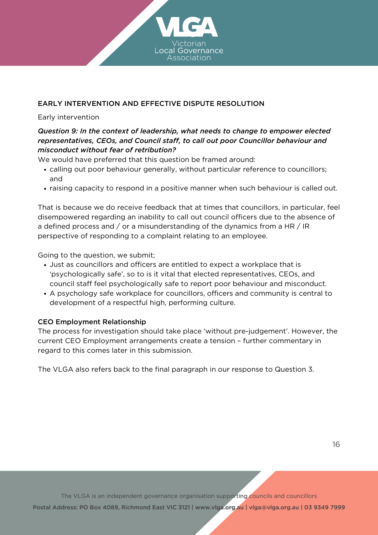

## EARLY INTERVENTION AND EFFECTIVE DISPUTE RESOLUTION

#### Early intervention

## *Question 9: In the context of leadership, what needs to change to empower elected representatives, CEOs, and Council staff, to call out poor Councillor behaviour and misconduct without fear of retribution?*

We would have preferred that this question be framed around:

- calling out poor behaviour generally, without particular reference to councillors; and
- raising capacity to respond in a positive manner when such behaviour is called out.

That is because we do receive feedback that at times that councillors, in particular, feel disempowered regarding an inability to call out council officers due to the absence of a defined process and / or a misunderstanding of the dynamics from a HR / IR perspective of responding to a complaint relating to an employee.

Going to the question, we submit;

- Just as councillors and officers are entitled to expect a workplace that is 'psychologically safe', so to is it vital that elected representatives, CEOs, and council staff feel psychologically safe to report poor behaviour and misconduct.
- A psychology safe workplace for councillors, officers and community is central to development of a respectful high, performing culture.

#### CEO Employment Relationship

The process for investigation should take place 'without pre-judgement'. However, the current CEO Employment arrangements create a tension – further commentary in regard to this comes later in this submission.

The VLGA also refers back to the final paragraph in our response to Question 3.

The VLGA is an independent governance organisation supporting councils and councillors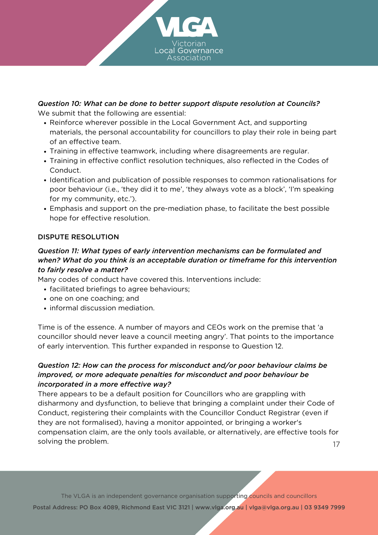

## *Question 10: What can be done to better support dispute resolution at Councils?* We submit that the following are essential:

- Reinforce wherever possible in the Local Government Act, and supporting materials, the personal accountability for councillors to play their role in being part of an effective team.
- Training in effective teamwork, including where disagreements are regular.
- Training in effective conflict resolution techniques, also reflected in the Codes of Conduct.
- Identification and publication of possible responses to common rationalisations for poor behaviour (i.e., 'they did it to me', 'they always vote as a block', 'I'm speaking for my community, etc.').
- Emphasis and support on the pre-mediation phase, to facilitate the best possible hope for effective resolution.

## DISPUTE RESOLUTION

## *Question 11: What types of early intervention mechanisms can be formulated and when? What do you think is an acceptable duration or timeframe for this intervention to fairly resolve a matter?*

Many codes of conduct have covered this. Interventions include:

- facilitated briefings to agree behaviours;
- one on one coaching; and
- informal discussion mediation.

Time is of the essence. A number of mayors and CEOs work on the premise that 'a councillor should never leave a council meeting angry'. That points to the importance of early intervention. This further expanded in response to Question 12.

## *Question 12: How can the process for misconduct and/or poor behaviour claims be improved, or more adequate penalties for misconduct and poor behaviour be incorporated in a more effective way?*

There appears to be a default position for Councillors who are grappling with disharmony and dysfunction, to believe that bringing a complaint under their Code of Conduct, registering their complaints with the Councillor Conduct Registrar (even if they are not formalised), having a monitor appointed, or bringing a worker's compensation claim, are the only tools available, or alternatively, are effective tools for solving the problem. 17

The VLGA is an independent governance organisation supporting councils and councillors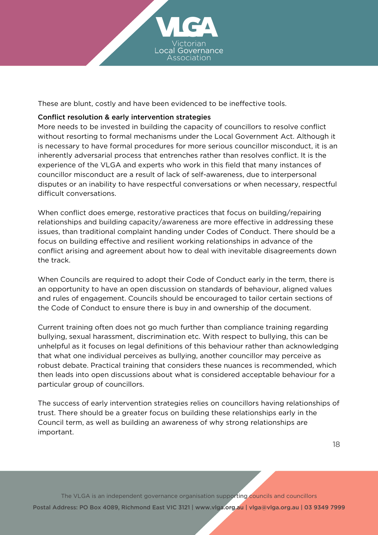

These are blunt, costly and have been evidenced to be ineffective tools.

## Conflict resolution & early intervention strategies

More needs to be invested in building the capacity of councillors to resolve conflict without resorting to formal mechanisms under the Local Government Act. Although it is necessary to have formal procedures for more serious councillor misconduct, it is an inherently adversarial process that entrenches rather than resolves conflict. It is the experience of the VLGA and experts who work in this field that many instances of councillor misconduct are a result of lack of self-awareness, due to interpersonal disputes or an inability to have respectful conversations or when necessary, respectful difficult conversations.

When conflict does emerge, restorative practices that focus on building/repairing relationships and building capacity/awareness are more effective in addressing these issues, than traditional complaint handing under Codes of Conduct. There should be a focus on building effective and resilient working relationships in advance of the conflict arising and agreement about how to deal with inevitable disagreements down the track.

When Councils are required to adopt their Code of Conduct early in the term, there is an opportunity to have an open discussion on standards of behaviour, aligned values and rules of engagement. Councils should be encouraged to tailor certain sections of the Code of Conduct to ensure there is buy in and ownership of the document.

Current training often does not go much further than compliance training regarding bullying, sexual harassment, discrimination etc. With respect to bullying, this can be unhelpful as it focuses on legal definitions of this behaviour rather than acknowledging that what one individual perceives as bullying, another councillor may perceive as robust debate. Practical training that considers these nuances is recommended, which then leads into open discussions about what is considered acceptable behaviour for a particular group of councillors.

The success of early intervention strategies relies on councillors having relationships of trust. There should be a greater focus on building these relationships early in the Council term, as well as building an awareness of why strong relationships are important.

The VLGA is an independent governance organisation supporting councils and councillors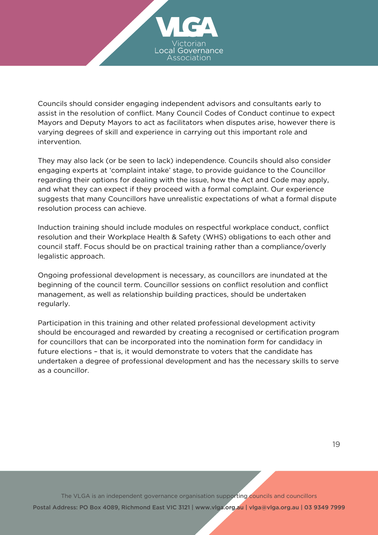

Councils should consider engaging independent advisors and consultants early to assist in the resolution of conflict. Many Council Codes of Conduct continue to expect Mayors and Deputy Mayors to act as facilitators when disputes arise, however there is varying degrees of skill and experience in carrying out this important role and intervention.

They may also lack (or be seen to lack) independence. Councils should also consider engaging experts at 'complaint intake' stage, to provide guidance to the Councillor regarding their options for dealing with the issue, how the Act and Code may apply, and what they can expect if they proceed with a formal complaint. Our experience suggests that many Councillors have unrealistic expectations of what a formal dispute resolution process can achieve.

Induction training should include modules on respectful workplace conduct, conflict resolution and their Workplace Health & Safety (WHS) obligations to each other and council staff. Focus should be on practical training rather than a compliance/overly legalistic approach.

Ongoing professional development is necessary, as councillors are inundated at the beginning of the council term. Councillor sessions on conflict resolution and conflict management, as well as relationship building practices, should be undertaken regularly.

Participation in this training and other related professional development activity should be encouraged and rewarded by creating a recognised or certification program for councillors that can be incorporated into the nomination form for candidacy in future elections – that is, it would demonstrate to voters that the candidate has undertaken a degree of professional development and has the necessary skills to serve as a councillor.

The VLGA is an independent governance organisation supporting councils and councillors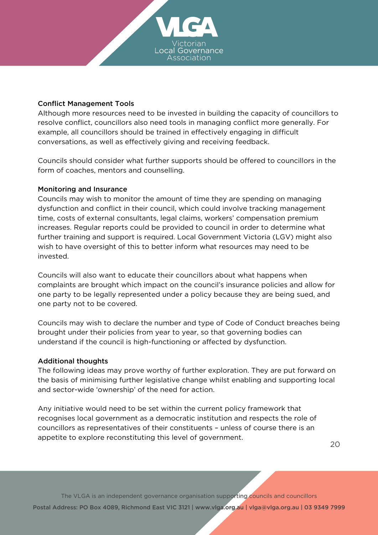

#### Conflict Management Tools

Although more resources need to be invested in building the capacity of councillors to resolve conflict, councillors also need tools in managing conflict more generally. For example, all councillors should be trained in effectively engaging in difficult conversations, as well as effectively giving and receiving feedback.

Councils should consider what further supports should be offered to councillors in the form of coaches, mentors and counselling.

#### Monitoring and Insurance

Councils may wish to monitor the amount of time they are spending on managing dysfunction and conflict in their council, which could involve tracking management time, costs of external consultants, legal claims, workers' compensation premium increases. Regular reports could be provided to council in order to determine what further training and support is required. Local Government Victoria (LGV) might also wish to have oversight of this to better inform what resources may need to be invested.

Councils will also want to educate their councillors about what happens when complaints are brought which impact on the council's insurance policies and allow for one party to be legally represented under a policy because they are being sued, and one party not to be covered.

Councils may wish to declare the number and type of Code of Conduct breaches being brought under their policies from year to year, so that governing bodies can understand if the council is high-functioning or affected by dysfunction.

#### Additional thoughts

The following ideas may prove worthy of further exploration. They are put forward on the basis of minimising further legislative change whilst enabling and supporting local and sector-wide 'ownership' of the need for action.

Any initiative would need to be set within the current policy framework that recognises local government as a democratic institution and respects the role of councillors as representatives of their constituents – unless of course there is an appetite to explore reconstituting this level of government.

20

The VLGA is an independent governance organisation supporting councils and councillors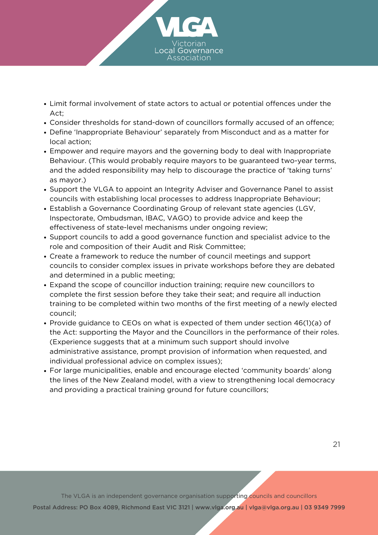

- Limit formal involvement of state actors to actual or potential offences under the Act;
- Consider thresholds for stand-down of councillors formally accused of an offence;
- Define 'Inappropriate Behaviour' separately from Misconduct and as a matter for local action;
- Empower and require mayors and the governing body to deal with Inappropriate Behaviour. (This would probably require mayors to be guaranteed two-year terms, and the added responsibility may help to discourage the practice of 'taking turns' as mayor.)
- Support the VLGA to appoint an Integrity Adviser and Governance Panel to assist councils with establishing local processes to address Inappropriate Behaviour;
- Establish a Governance Coordinating Group of relevant state agencies (LGV, Inspectorate, Ombudsman, IBAC, VAGO) to provide advice and keep the effectiveness of state-level mechanisms under ongoing review;
- Support councils to add a good governance function and specialist advice to the role and composition of their Audit and Risk Committee;
- Create a framework to reduce the number of council meetings and support councils to consider complex issues in private workshops before they are debated and determined in a public meeting;
- Expand the scope of councillor induction training; require new councillors to complete the first session before they take their seat; and require all induction training to be completed within two months of the first meeting of a newly elected council;
- Provide guidance to CEOs on what is expected of them under section 46(1)(a) of the Act: supporting the Mayor and the Councillors in the performance of their roles. (Experience suggests that at a minimum such support should involve administrative assistance, prompt provision of information when requested, and individual professional advice on complex issues);
- For large municipalities, enable and encourage elected 'community boards' along the lines of the New Zealand model, with a view to strengthening local democracy and providing a practical training ground for future councillors;

The VLGA is an independent governance organisation supporting councils and councillors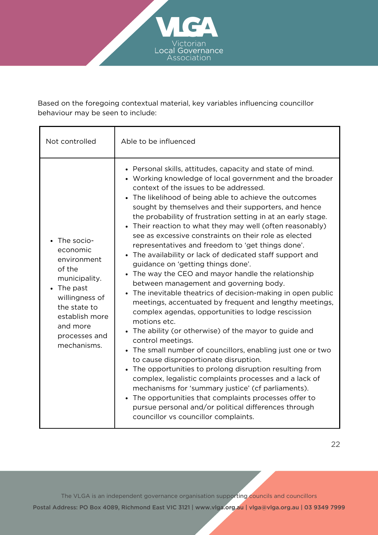

Based on the foregoing contextual material, key variables influencing councillor behaviour may be seen to include:

| Not controlled                                                                                                                                                                 | Able to be influenced                                                                                                                                                                                                                                                                                                                                                                                                                                                                                                                                                                                                                                                                                                                                                                                                                                                                                                                                                                                                                                                                                                                                                                                                                                                                                                                                                                                                                                                       |
|--------------------------------------------------------------------------------------------------------------------------------------------------------------------------------|-----------------------------------------------------------------------------------------------------------------------------------------------------------------------------------------------------------------------------------------------------------------------------------------------------------------------------------------------------------------------------------------------------------------------------------------------------------------------------------------------------------------------------------------------------------------------------------------------------------------------------------------------------------------------------------------------------------------------------------------------------------------------------------------------------------------------------------------------------------------------------------------------------------------------------------------------------------------------------------------------------------------------------------------------------------------------------------------------------------------------------------------------------------------------------------------------------------------------------------------------------------------------------------------------------------------------------------------------------------------------------------------------------------------------------------------------------------------------------|
| The socio-<br>economic<br>environment<br>of the<br>municipality.<br>• The past<br>willingness of<br>the state to<br>establish more<br>and more<br>processes and<br>mechanisms. | • Personal skills, attitudes, capacity and state of mind.<br>• Working knowledge of local government and the broader<br>context of the issues to be addressed.<br>The likelihood of being able to achieve the outcomes<br>sought by themselves and their supporters, and hence<br>the probability of frustration setting in at an early stage.<br>• Their reaction to what they may well (often reasonably)<br>see as excessive constraints on their role as elected<br>representatives and freedom to 'get things done'.<br>The availability or lack of dedicated staff support and<br>$\bullet$<br>guidance on 'getting things done'.<br>The way the CEO and mayor handle the relationship<br>$\bullet$<br>between management and governing body.<br>The inevitable theatrics of decision-making in open public<br>meetings, accentuated by frequent and lengthy meetings,<br>complex agendas, opportunities to lodge rescission<br>motions etc.<br>• The ability (or otherwise) of the mayor to guide and<br>control meetings.<br>The small number of councillors, enabling just one or two<br>to cause disproportionate disruption.<br>• The opportunities to prolong disruption resulting from<br>complex, legalistic complaints processes and a lack of<br>mechanisms for 'summary justice' (cf parliaments).<br>The opportunities that complaints processes offer to<br>pursue personal and/or political differences through<br>councillor vs councillor complaints. |

The VLGA is an independent governance organisation supporting councils and councillors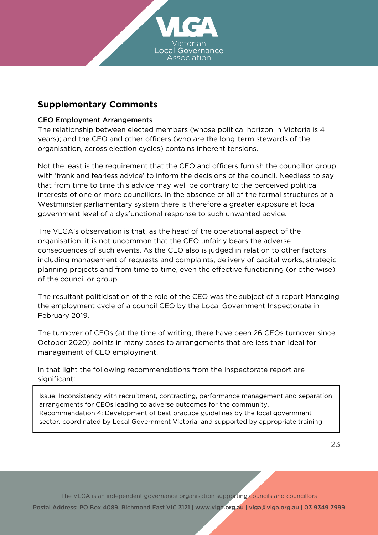

# **Supplementary Comments**

#### CEO Employment Arrangements

The relationship between elected members (whose political horizon in Victoria is 4 years); and the CEO and other officers (who are the long-term stewards of the organisation, across election cycles) contains inherent tensions.

Not the least is the requirement that the CEO and officers furnish the councillor group with 'frank and fearless advice' to inform the decisions of the council. Needless to say that from time to time this advice may well be contrary to the perceived political interests of one or more councillors. In the absence of all of the formal structures of a Westminster parliamentary system there is therefore a greater exposure at local government level of a dysfunctional response to such unwanted advice.

The VLGA's observation is that, as the head of the operational aspect of the organisation, it is not uncommon that the CEO unfairly bears the adverse consequences of such events. As the CEO also is judged in relation to other factors including management of requests and complaints, delivery of capital works, strategic planning projects and from time to time, even the effective functioning (or otherwise) of the councillor group.

The resultant politicisation of the role of the CEO was the subject of a report Managing the employment cycle of a council CEO by the Local Government Inspectorate in February 2019.

The turnover of CEOs (at the time of writing, there have been 26 CEOs turnover since October 2020) points in many cases to arrangements that are less than ideal for management of CEO employment.

In that light the following recommendations from the Inspectorate report are significant:

Issue: Inconsistency with recruitment, contracting, performance management and separation arrangements for CEOs leading to adverse outcomes for the community. Recommendation 4: Development of best practice guidelines by the local government sector, coordinated by Local Government Victoria, and supported by appropriate training.

The VLGA is an independent governance organisation supporting councils and councillors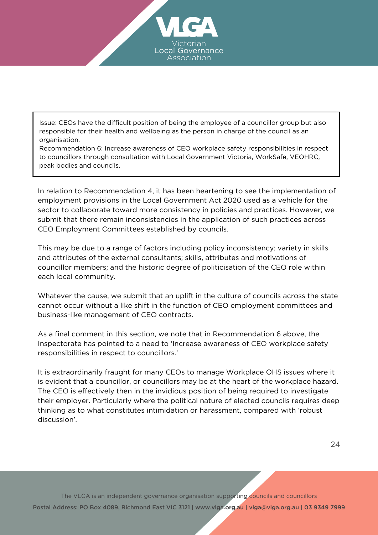

Issue: CEOs have the difficult position of being the employee of a councillor group but also responsible for their health and wellbeing as the person in charge of the council as an organisation.

Recommendation 6: Increase awareness of CEO workplace safety responsibilities in respect to councillors through consultation with Local Government Victoria, WorkSafe, VEOHRC, peak bodies and councils.

In relation to Recommendation 4, it has been heartening to see the implementation of employment provisions in the Local Government Act 2020 used as a vehicle for the sector to collaborate toward more consistency in policies and practices. However, we submit that there remain inconsistencies in the application of such practices across CEO Employment Committees established by councils.

This may be due to a range of factors including policy inconsistency; variety in skills and attributes of the external consultants; skills, attributes and motivations of councillor members; and the historic degree of politicisation of the CEO role within each local community.

Whatever the cause, we submit that an uplift in the culture of councils across the state cannot occur without a like shift in the function of CEO employment committees and business-like management of CEO contracts.

As a final comment in this section, we note that in Recommendation 6 above, the Inspectorate has pointed to a need to 'Increase awareness of CEO workplace safety responsibilities in respect to councillors.'

It is extraordinarily fraught for many CEOs to manage Workplace OHS issues where it is evident that a councillor, or councillors may be at the heart of the workplace hazard. The CEO is effectively then in the invidious position of being required to investigate their employer. Particularly where the political nature of elected councils requires deep thinking as to what constitutes intimidation or harassment, compared with 'robust discussion'.

The VLGA is an independent governance organisation supporting councils and councillors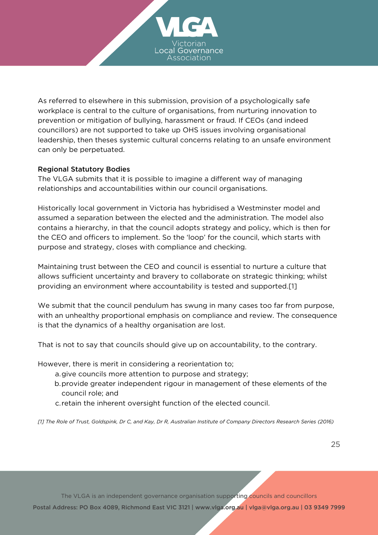

As referred to elsewhere in this submission, provision of a psychologically safe workplace is central to the culture of organisations, from nurturing innovation to prevention or mitigation of bullying, harassment or fraud. If CEOs (and indeed councillors) are not supported to take up OHS issues involving organisational leadership, then theses systemic cultural concerns relating to an unsafe environment can only be perpetuated.

#### Regional Statutory Bodies

The VLGA submits that it is possible to imagine a different way of managing relationships and accountabilities within our council organisations.

Historically local government in Victoria has hybridised a Westminster model and assumed a separation between the elected and the administration. The model also contains a hierarchy, in that the council adopts strategy and policy, which is then for the CEO and officers to implement. So the 'loop' for the council, which starts with purpose and strategy, closes with compliance and checking.

Maintaining trust between the CEO and council is essential to nurture a culture that allows sufficient uncertainty and bravery to collaborate on strategic thinking; whilst providing an environment where accountability is tested and supported.[1]

We submit that the council pendulum has swung in many cases too far from purpose, with an unhealthy proportional emphasis on compliance and review. The consequence is that the dynamics of a healthy organisation are lost.

That is not to say that councils should give up on accountability, to the contrary.

However, there is merit in considering a reorientation to;

- give councils more attention to purpose and strategy; a.
- provide greater independent rigour in management of these elements of the b. council role; and
- c. retain the inherent oversight function of the elected council.

[1] The Role of Trust, Goldspink, Dr C, and Kay, Dr R, Australian Institute of Company Directors Research Series (2016)

The VLGA is an independent governance organisation supporting councils and councillors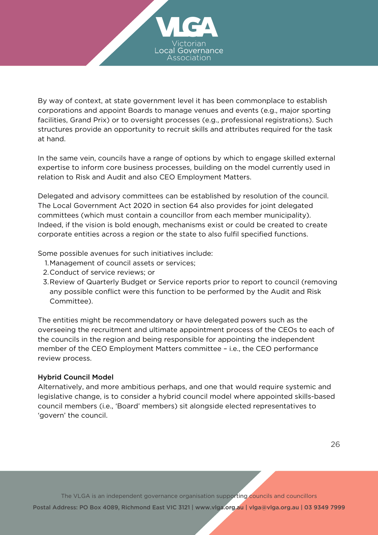

By way of context, at state government level it has been commonplace to establish corporations and appoint Boards to manage venues and events (e.g., major sporting facilities, Grand Prix) or to oversight processes (e.g., professional registrations). Such structures provide an opportunity to recruit skills and attributes required for the task at hand.

In the same vein, councils have a range of options by which to engage skilled external expertise to inform core business processes, building on the model currently used in relation to Risk and Audit and also CEO Employment Matters.

Delegated and advisory committees can be established by resolution of the council. The Local Government Act 2020 in section 64 also provides for joint delegated committees (which must contain a councillor from each member municipality). Indeed, if the vision is bold enough, mechanisms exist or could be created to create corporate entities across a region or the state to also fulfil specified functions.

Some possible avenues for such initiatives include:

- Management of council assets or services; 1.
- 2. Conduct of service reviews; or
- Review of Quarterly Budget or Service reports prior to report to council (removing 3. any possible conflict were this function to be performed by the Audit and Risk Committee).

The entities might be recommendatory or have delegated powers such as the overseeing the recruitment and ultimate appointment process of the CEOs to each of the councils in the region and being responsible for appointing the independent member of the CEO Employment Matters committee – i.e., the CEO performance review process.

#### Hybrid Council Model

Alternatively, and more ambitious perhaps, and one that would require systemic and legislative change, is to consider a hybrid council model where appointed skills-based council members (i.e., 'Board' members) sit alongside elected representatives to 'govern' the council.

The VLGA is an independent governance organisation supporting councils and councillors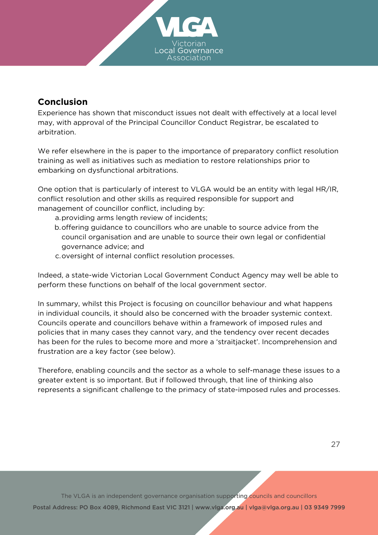

# **Conclusion**

Experience has shown that misconduct issues not dealt with effectively at a local level may, with approval of the Principal Councillor Conduct Registrar, be escalated to arbitration.

We refer elsewhere in the is paper to the importance of preparatory conflict resolution training as well as initiatives such as mediation to restore relationships prior to embarking on dysfunctional arbitrations.

One option that is particularly of interest to VLGA would be an entity with legal HR/IR, conflict resolution and other skills as required responsible for support and management of councillor conflict, including by:

a.providing arms length review of incidents;

- b. offering guidance to councillors who are unable to source advice from the council organisation and are unable to source their own legal or confidential governance advice; and
- c.oversight of internal conflict resolution processes.

Indeed, a state-wide Victorian Local Government Conduct Agency may well be able to perform these functions on behalf of the local government sector.

In summary, whilst this Project is focusing on councillor behaviour and what happens in individual councils, it should also be concerned with the broader systemic context. Councils operate and councillors behave within a framework of imposed rules and policies that in many cases they cannot vary, and the tendency over recent decades has been for the rules to become more and more a 'straitjacket'. Incomprehension and frustration are a key factor (see below).

Therefore, enabling councils and the sector as a whole to self-manage these issues to a greater extent is so important. But if followed through, that line of thinking also represents a significant challenge to the primacy of state-imposed rules and processes.

The VLGA is an independent governance organisation supporting councils and councillors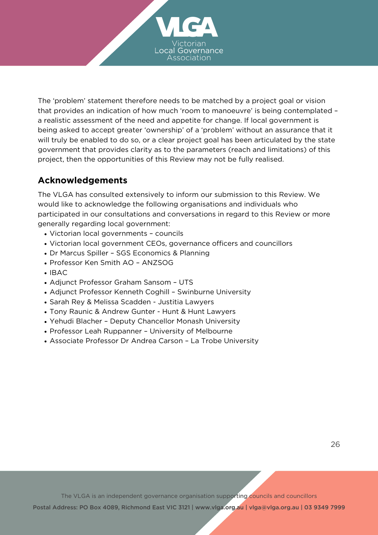

The 'problem' statement therefore needs to be matched by a project goal or vision that provides an indication of how much 'room to manoeuvre' is being contemplated – a realistic assessment of the need and appetite for change. If local government is being asked to accept greater 'ownership' of a 'problem' without an assurance that it will truly be enabled to do so, or a clear project goal has been articulated by the state government that provides clarity as to the parameters (reach and limitations) of this project, then the opportunities of this Review may not be fully realised.

# **Acknowledgements**

The VLGA has consulted extensively to inform our submission to this Review. We would like to acknowledge the following organisations and individuals who participated in our consultations and conversations in regard to this Review or more generally regarding local government:

- Victorian local governments councils
- Victorian local government CEOs, governance officers and councillors
- Dr Marcus Spiller SGS Economics & Planning
- Professor Ken Smith AO ANZSOG
- $\cdot$  IBAC
- Adjunct Professor Graham Sansom UTS
- Adjunct Professor Kenneth Coghill Swinburne University
- Sarah Rey & Melissa Scadden Justitia Lawyers
- Tony Raunic & Andrew Gunter Hunt & Hunt Lawyers
- Yehudi Blacher Deputy Chancellor Monash University
- Professor Leah Ruppanner University of Melbourne
- Associate Professor Dr Andrea Carson La Trobe University

The VLGA is an independent governance organisation supporting councils and councillors